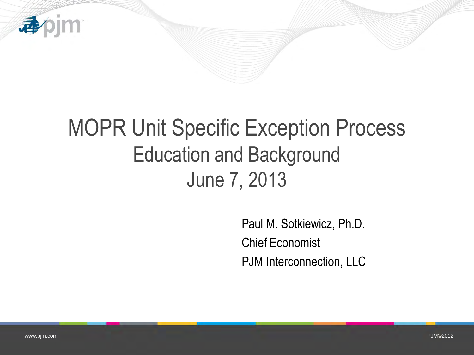

# MOPR Unit Specific Exception Process Education and Background June 7, 2013

Paul M. Sotkiewicz, Ph.D. Chief Economist PJM Interconnection, LLC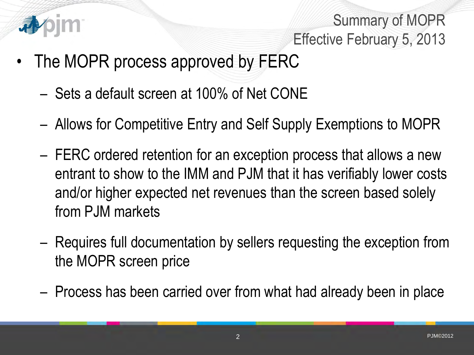

Summary of MOPR Effective February 5, 2013

- The MOPR process approved by FERC
	- Sets a default screen at 100% of Net CONE
	- Allows for Competitive Entry and Self Supply Exemptions to MOPR
	- FERC ordered retention for an exception process that allows a new entrant to show to the IMM and PJM that it has verifiably lower costs and/or higher expected net revenues than the screen based solely from PJM markets
	- Requires full documentation by sellers requesting the exception from the MOPR screen price
	- Process has been carried over from what had already been in place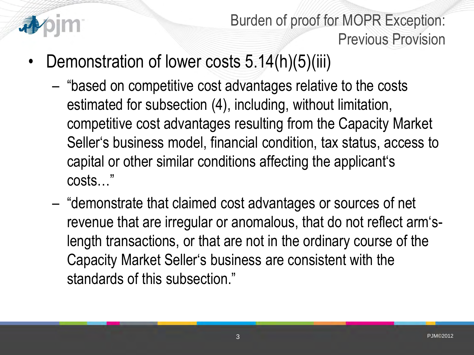

Burden of proof for MOPR Exception: Previous Provision

- Demonstration of lower costs 5.14(h)(5)(iii)
	- "based on competitive cost advantages relative to the costs estimated for subsection (4), including, without limitation, competitive cost advantages resulting from the Capacity Market Seller's business model, financial condition, tax status, access to capital or other similar conditions affecting the applicant's costs…"
	- "demonstrate that claimed cost advantages or sources of net revenue that are irregular or anomalous, that do not reflect arm'slength transactions, or that are not in the ordinary course of the Capacity Market Seller's business are consistent with the standards of this subsection."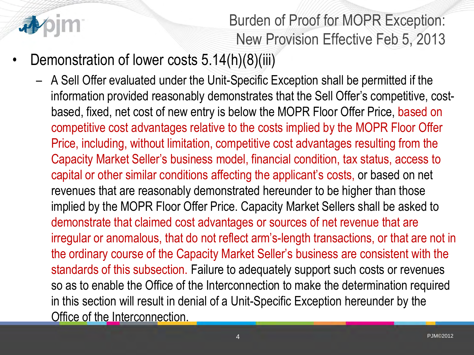

Burden of Proof for MOPR Exception: New Provision Effective Feb 5, 2013

- Demonstration of lower costs 5.14(h)(8)(iii)
	- A Sell Offer evaluated under the Unit-Specific Exception shall be permitted if the information provided reasonably demonstrates that the Sell Offer's competitive, costbased, fixed, net cost of new entry is below the MOPR Floor Offer Price, based on competitive cost advantages relative to the costs implied by the MOPR Floor Offer Price, including, without limitation, competitive cost advantages resulting from the Capacity Market Seller's business model, financial condition, tax status, access to capital or other similar conditions affecting the applicant's costs, or based on net revenues that are reasonably demonstrated hereunder to be higher than those implied by the MOPR Floor Offer Price. Capacity Market Sellers shall be asked to demonstrate that claimed cost advantages or sources of net revenue that are irregular or anomalous, that do not reflect arm's-length transactions, or that are not in the ordinary course of the Capacity Market Seller's business are consistent with the standards of this subsection. Failure to adequately support such costs or revenues so as to enable the Office of the Interconnection to make the determination required in this section will result in denial of a Unit-Specific Exception hereunder by the Office of the Interconnection.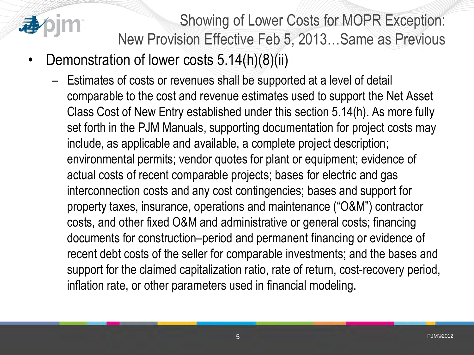

Showing of Lower Costs for MOPR Exception: New Provision Effective Feb 5, 2013…Same as Previous

- Demonstration of lower costs 5.14(h)(8)(ii)
	- Estimates of costs or revenues shall be supported at a level of detail comparable to the cost and revenue estimates used to support the Net Asset Class Cost of New Entry established under this section 5.14(h). As more fully set forth in the PJM Manuals, supporting documentation for project costs may include, as applicable and available, a complete project description; environmental permits; vendor quotes for plant or equipment; evidence of actual costs of recent comparable projects; bases for electric and gas interconnection costs and any cost contingencies; bases and support for property taxes, insurance, operations and maintenance ("O&M") contractor costs, and other fixed O&M and administrative or general costs; financing documents for construction–period and permanent financing or evidence of recent debt costs of the seller for comparable investments; and the bases and support for the claimed capitalization ratio, rate of return, cost-recovery period, inflation rate, or other parameters used in financial modeling.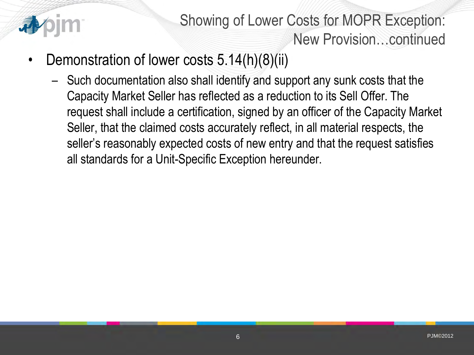

Showing of Lower Costs for MOPR Exception: New Provision…continued

- Demonstration of lower costs 5.14(h)(8)(ii)
	- Such documentation also shall identify and support any sunk costs that the Capacity Market Seller has reflected as a reduction to its Sell Offer. The request shall include a certification, signed by an officer of the Capacity Market Seller, that the claimed costs accurately reflect, in all material respects, the seller's reasonably expected costs of new entry and that the request satisfies all standards for a Unit-Specific Exception hereunder.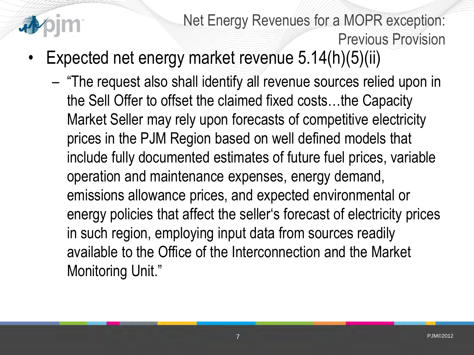

Net Energy Revenues for a MOPR exception: Previous Provision

- Expected net energy market revenue 5.14(h)(5)(ii)
	- "The request also shall identify all revenue sources relied upon in the Sell Offer to offset the claimed fixed costs…the Capacity Market Seller may rely upon forecasts of competitive electricity prices in the PJM Region based on well defined models that include fully documented estimates of future fuel prices, variable operation and maintenance expenses, energy demand, emissions allowance prices, and expected environmental or energy policies that affect the seller's forecast of electricity prices in such region, employing input data from sources readily available to the Office of the Interconnection and the Market Monitoring Unit."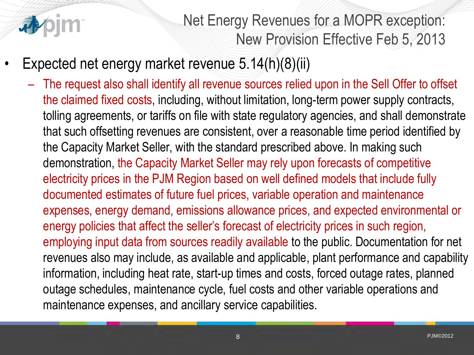

Net Energy Revenues for a MOPR exception: New Provision Effective Feb 5, 2013

- Expected net energy market revenue 5.14(h)(8)(ii)
	- The request also shall identify all revenue sources relied upon in the Sell Offer to offset the claimed fixed costs, including, without limitation, long-term power supply contracts, tolling agreements, or tariffs on file with state regulatory agencies, and shall demonstrate that such offsetting revenues are consistent, over a reasonable time period identified by the Capacity Market Seller, with the standard prescribed above. In making such demonstration, the Capacity Market Seller may rely upon forecasts of competitive electricity prices in the PJM Region based on well defined models that include fully documented estimates of future fuel prices, variable operation and maintenance expenses, energy demand, emissions allowance prices, and expected environmental or energy policies that affect the seller's forecast of electricity prices in such region, employing input data from sources readily available to the public. Documentation for net revenues also may include, as available and applicable, plant performance and capability information, including heat rate, start-up times and costs, forced outage rates, planned outage schedules, maintenance cycle, fuel costs and other variable operations and maintenance expenses, and ancillary service capabilities.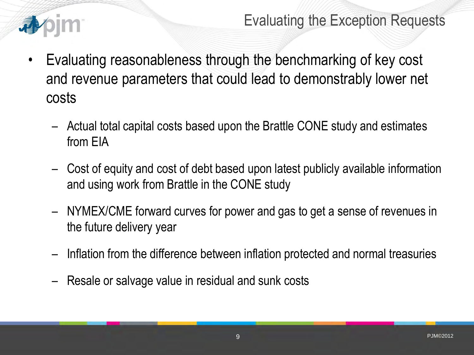

#### Evaluating the Exception Requests

- Evaluating reasonableness through the benchmarking of key cost and revenue parameters that could lead to demonstrably lower net costs
	- Actual total capital costs based upon the Brattle CONE study and estimates from EIA
	- Cost of equity and cost of debt based upon latest publicly available information and using work from Brattle in the CONE study
	- NYMEX/CME forward curves for power and gas to get a sense of revenues in the future delivery year
	- Inflation from the difference between inflation protected and normal treasuries
	- Resale or salvage value in residual and sunk costs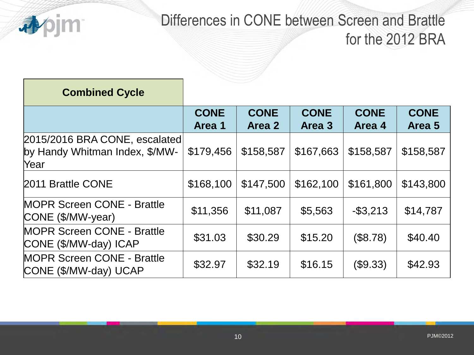

### Differences in CONE between Screen and Brattle for the 2012 BRA

| <b>Combined Cycle</b>                                                   |                       |                       |                       |                       |                       |
|-------------------------------------------------------------------------|-----------------------|-----------------------|-----------------------|-----------------------|-----------------------|
|                                                                         | <b>CONE</b><br>Area 1 | <b>CONE</b><br>Area 2 | <b>CONE</b><br>Area 3 | <b>CONE</b><br>Area 4 | <b>CONE</b><br>Area 5 |
| 2015/2016 BRA CONE, escalated<br>by Handy Whitman Index, \$/MW-<br>Year | \$179,456             | \$158,587             | \$167,663             | \$158,587             | \$158,587             |
| 2011 Brattle CONE                                                       | \$168,100             | \$147,500             | \$162,100             | \$161,800             | \$143,800             |
| <b>MOPR Screen CONE - Brattle</b><br>CONE (\$/MW-year)                  | \$11,356              | \$11,087              | \$5,563               | $-$ \$3,213           | \$14,787              |
| <b>MOPR Screen CONE - Brattle</b><br>CONE (\$/MW-day) ICAP              | \$31.03               | \$30.29               | \$15.20               | (\$8.78)              | \$40.40               |
| <b>MOPR Screen CONE - Brattle</b><br>CONE (\$/MW-day) UCAP              | \$32.97               | \$32.19               | \$16.15               | (\$9.33)              | \$42.93               |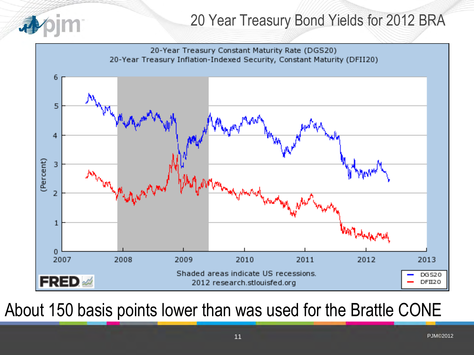

### 20 Year Treasury Bond Yields for 2012 BRA



# About 150 basis points lower than was used for the Brattle CONE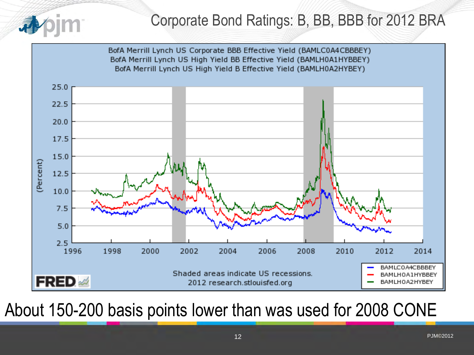



## About 150-200 basis points lower than was used for 2008 CONE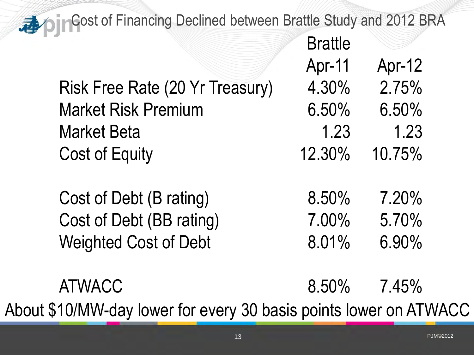**Cost of Financing Declined between Brattle Study and 2012 BRA** 

|                                 | <b>Brattle</b> |        |
|---------------------------------|----------------|--------|
|                                 | Apr-11         | Apr-12 |
| Risk Free Rate (20 Yr Treasury) | 4.30%          | 2.75%  |
| <b>Market Risk Premium</b>      | 6.50%          | 6.50%  |
| <b>Market Beta</b>              | 1.23           | 1.23   |
| <b>Cost of Equity</b>           | 12.30%         | 10.75% |
|                                 |                |        |
| Cost of Debt (B rating)         | 8.50%          | 7.20%  |
| Cost of Debt (BB rating)        | 7.00%          | 5.70%  |

Weighted Cost of Debt 8.01% 6.90%

 $D_{\text{max}}(0)$ 

ATWACC 8.50% 7.45% About \$10/MW-day lower for every 30 basis points lower on ATWACC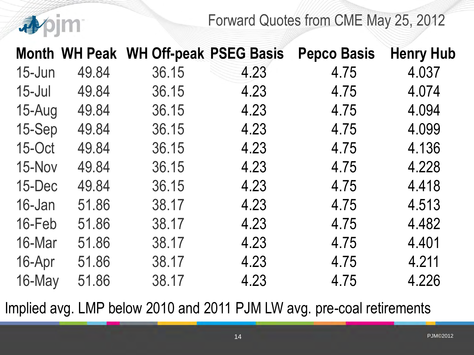Forward Quotes from CME May 25, 2012

|            |       | Month WH Peak WH Off-peak PSEG Basis |      | <b>Pepco Basis</b> | <b>Henry Hub</b> |
|------------|-------|--------------------------------------|------|--------------------|------------------|
| 15-Jun     | 49.84 | 36.15                                | 4.23 | 4.75               | 4.037            |
| $15$ -Jul  | 49.84 | 36.15                                | 4.23 | 4.75               | 4.074            |
| $15 - Aug$ | 49.84 | 36.15                                | 4.23 | 4.75               | 4.094            |
| 15-Sep     | 49.84 | 36.15                                | 4.23 | 4.75               | 4.099            |
| 15-Oct     | 49.84 | 36.15                                | 4.23 | 4.75               | 4.136            |
| 15-Nov     | 49.84 | 36.15                                | 4.23 | 4.75               | 4.228            |
| 15-Dec     | 49.84 | 36.15                                | 4.23 | 4.75               | 4.418            |
| 16-Jan     | 51.86 | 38.17                                | 4.23 | 4.75               | 4.513            |
| 16-Feb     | 51.86 | 38.17                                | 4.23 | 4.75               | 4.482            |
| 16-Mar     | 51.86 | 38.17                                | 4.23 | 4.75               | 4.401            |
| 16-Apr     | 51.86 | 38.17                                | 4.23 | 4.75               | 4.211            |
| 16-May     | 51.86 | 38.17                                | 4.23 | 4.75               | 4.226            |

香

Implied avg. LMP below 2010 and 2011 PJM LW avg. pre-coal retirements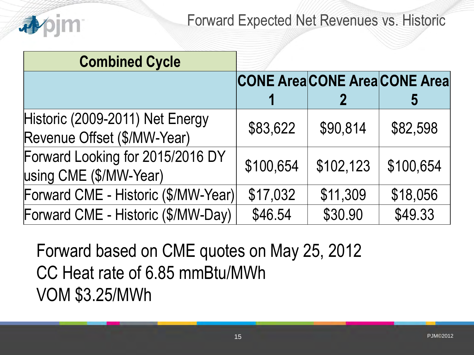

#### Forward Expected Net Revenues vs. Historic

| <b>Combined Cycle</b>                                          |           |           |                                           |
|----------------------------------------------------------------|-----------|-----------|-------------------------------------------|
|                                                                |           |           | <b>CONE Area CONE Area CONE Area</b><br>ე |
| Historic (2009-2011) Net Energy<br>Revenue Offset (\$/MW-Year) | \$83,622  | \$90,814  | \$82,598                                  |
| Forward Looking for 2015/2016 DY<br>using CME (\$/MW-Year)     | \$100,654 | \$102,123 | \$100,654                                 |
| Forward CME - Historic (\$/MW-Year)                            | \$17,032  | \$11,309  | \$18,056                                  |
| Forward CME - Historic (\$/MW-Day)                             | \$46.54   | \$30.90   | \$49.33                                   |

Forward based on CME quotes on May 25, 2012 CC Heat rate of 6.85 mmBtu/MWh VOM \$3.25/MWh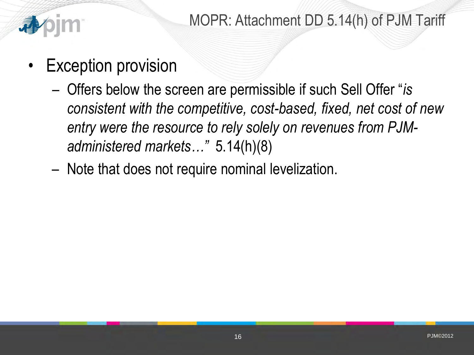

- Exception provision
	- Offers below the screen are permissible if such Sell Offer "*is consistent with the competitive, cost-based, fixed, net cost of new entry were the resource to rely solely on revenues from PJMadministered markets…"* 5.14(h)(8)
	- Note that does not require nominal levelization.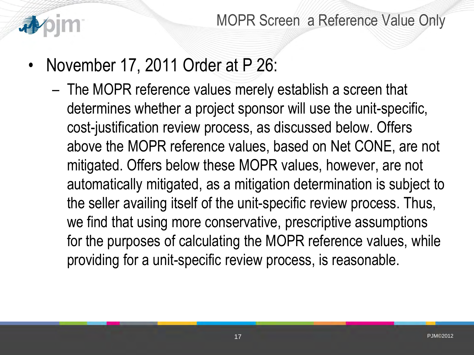

- November 17, 2011 Order at P 26:
	- The MOPR reference values merely establish a screen that determines whether a project sponsor will use the unit-specific, cost-justification review process, as discussed below. Offers above the MOPR reference values, based on Net CONE, are not mitigated. Offers below these MOPR values, however, are not automatically mitigated, as a mitigation determination is subject to the seller availing itself of the unit-specific review process. Thus, we find that using more conservative, prescriptive assumptions for the purposes of calculating the MOPR reference values, while providing for a unit-specific review process, is reasonable.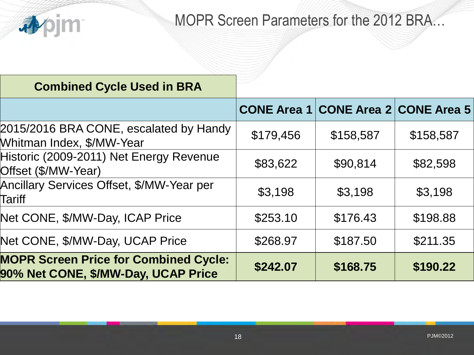

### MOPR Screen Parameters for the 2012 BRA…

| <b>Combined Cycle Used in BRA</b>                                                   |           |                                            |           |
|-------------------------------------------------------------------------------------|-----------|--------------------------------------------|-----------|
|                                                                                     |           | <b>CONE Area 1 CONE Area 2 CONE Area 5</b> |           |
| 2015/2016 BRA CONE, escalated by Handy<br>Whitman Index, \$/MW-Year                 | \$179,456 | \$158,587                                  | \$158,587 |
| Historic (2009-2011) Net Energy Revenue<br>Offset (\$/MW-Year)                      | \$83,622  | \$90,814                                   | \$82,598  |
| Ancillary Services Offset, \$/MW-Year per<br>Tariff                                 | \$3,198   | \$3,198                                    | \$3,198   |
| Net CONE, \$/MW-Day, ICAP Price                                                     | \$253.10  | \$176.43                                   | \$198.88  |
| Net CONE, \$/MW-Day, UCAP Price                                                     | \$268.97  | \$187.50                                   | \$211.35  |
| <b>MOPR Screen Price for Combined Cycle:</b><br>90% Net CONE, \$/MW-Day, UCAP Price | \$242.07  | \$168.75                                   | \$190.22  |